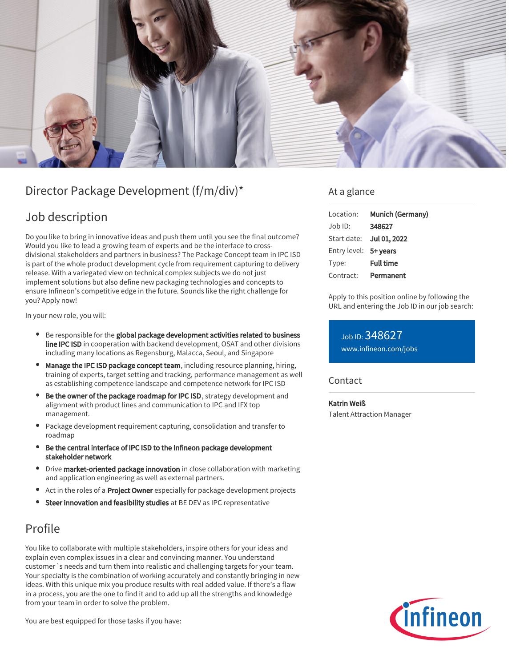

# Director Package Development (f/m/div)\*

# Job description

Do you like to bring in innovative ideas and push them until you see the final outcome? Would you like to lead a growing team of experts and be the interface to crossdivisional stakeholders and partners in business? The Package Concept team in IPC ISD is part of the whole product development cycle from requirement capturing to delivery release. With a variegated view on technical complex subjects we do not just implement solutions but also define new packaging technologies and concepts to ensure Infineon's competitive edge in the future. Sounds like the right challenge for you? Apply now!

In your new role, you will:

- **•** Be responsible for the global package development activities related to business line IPC ISD in cooperation with backend development, OSAT and other divisions including many locations as Regensburg, Malacca, Seoul, and Singapore
- Manage the IPC ISD package concept team, including resource planning, hiring, training of experts, target setting and tracking, performance management as well as establishing competence landscape and competence network for IPC ISD
- Be the owner of the package roadmap for IPC ISD, strategy development and alignment with product lines and communication to IPC and IFX top management.
- Package development requirement capturing, consolidation and transfer to roadmap
- Be the central interface of IPC ISD to the Infineon package development stakeholder network
- Drive market-oriented package innovation in close collaboration with marketing and application engineering as well as external partners.
- Act in the roles of a **Project Owner** especially for package development projects
- Steer innovation and feasibility studies at BE DEV as IPC representative

# Profile

You like to collaborate with multiple stakeholders, inspire others for your ideas and explain even complex issues in a clear and convincing manner. You understand customer´s needs and turn them into realistic and challenging targets for your team. Your specialty is the combination of working accurately and constantly bringing in new ideas. With this unique mix you produce results with real added value. If there's a flaw in a process, you are the one to find it and to add up all the strengths and knowledge from your team in order to solve the problem.

You are best equipped for those tasks if you have:

### At a glance

| Location:             | Munich (Germany)         |
|-----------------------|--------------------------|
| $Job$ ID:             | 348627                   |
|                       | Start date: Jul 01, 2022 |
| Entry level: 5+ years |                          |
| Type:                 | <b>Full time</b>         |
| Contract:             | Permanent                |

Apply to this position online by following the URL and entering the Job ID in our job search:

Job ID: 348627 [www.infineon.com/jobs](https://www.infineon.com/jobs)

### **Contact**

Katrin Weiß

Talent Attraction Manager